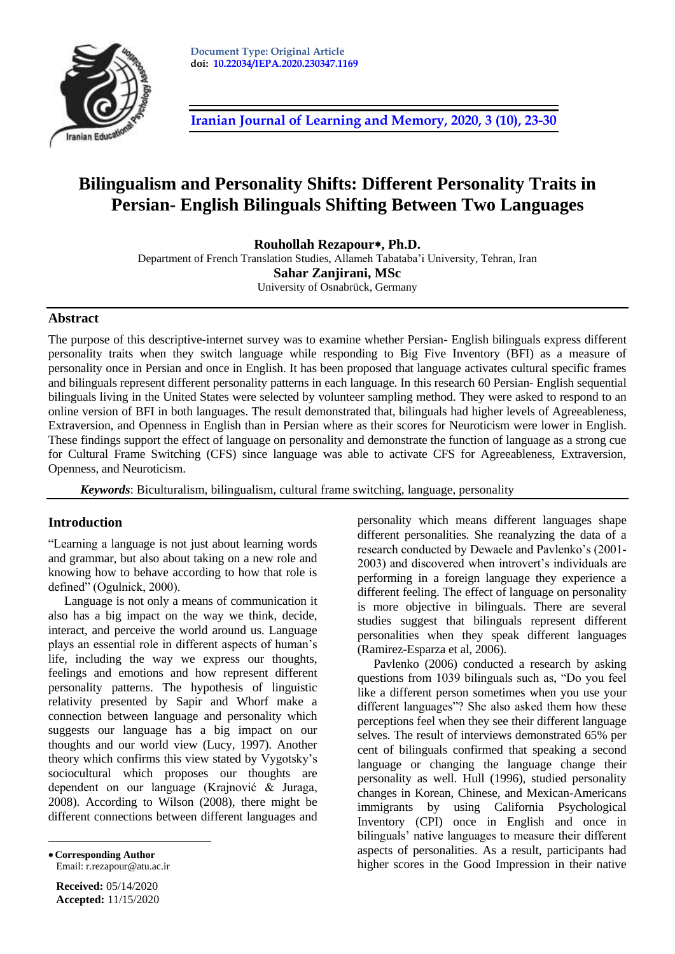

**[Iranian Journal of Learning and Memory, 2020, 3](http://journal.iepa.ir/article_91052.html) (10), 23-30**

# **Bilingualism and Personality Shifts: Different Personality Traits in Persian- English Bilinguals Shifting Between Two Languages**

**Rouhollah Rezapour, Ph.D.**

Department of French Translation Studies, Allameh Tabataba'i University, Tehran, Iran **Sahar Zanjirani, MSc** University of Osnabrück, Germany

### **Abstract**

The purpose of this descriptive-internet survey was to examine whether Persian- English bilinguals express different personality traits when they switch language while responding to Big Five Inventory (BFI) as a measure of personality once in Persian and once in English. It has been proposed that language activates cultural specific frames and bilinguals represent different personality patterns in each language. In this research 60 Persian- English sequential bilinguals living in the United States were selected by volunteer sampling method. They were asked to respond to an online version of BFI in both languages. The result demonstrated that, bilinguals had higher levels of Agreeableness, Extraversion, and Openness in English than in Persian where as their scores for Neuroticism were lower in English. These findings support the effect of language on personality and demonstrate the function of language as a strong cue for Cultural Frame Switching (CFS) since language was able to activate CFS for Agreeableness, Extraversion, Openness, and Neuroticism.

*Keywords*: Biculturalism, bilingualism, cultural frame switching, language, personality

### **Introduction**

"Learning a language is not just about learning words and grammar, but also about taking on a new role and knowing how to behave according to how that role is defined" (Ogulnick, 2000).

Language is not only a means of communication it also has a big impact on the way we think, decide, interact, and perceive the world around us. Language plays an essential role in different aspects of human's life, including the way we express our thoughts, feelings and emotions and how represent different personality patterns. The hypothesis of linguistic relativity presented by Sapir and Whorf make a connection between language and personality which suggests our language has a big impact on our thoughts and our world view (Lucy, 1997). Another theory which confirms this view stated by Vygotsky's sociocultural which proposes our thoughts are dependent on our language (Krajnović & Juraga, 2008). According to Wilson (2008), there might be different connections between different languages and

 **Corresponding Author**  Email: r.rezapour@atu.ac.ir

 $\overline{a}$ 

**Received:** 05/14/2020 **Accepted:** 11/15/2020 personality which means different languages shape different personalities. She reanalyzing the data of a research conducted by Dewaele and Pavlenko's (2001- 2003) and discovered when introvert's individuals are performing in a foreign language they experience a different feeling. The effect of language on personality is more objective in bilinguals. There are several studies suggest that bilinguals represent different personalities when they speak different languages (Ramirez-Esparza et al, 2006).

Pavlenko (2006) conducted a research by asking questions from 1039 bilinguals such as, "Do you feel like a different person sometimes when you use your different languages"? She also asked them how these perceptions feel when they see their different language selves. The result of interviews demonstrated 65% per cent of bilinguals confirmed that speaking a second language or changing the language change their personality as well. Hull (1996), studied personality changes in Korean, Chinese, and Mexican-Americans immigrants by using California Psychological Inventory (CPI) once in English and once in bilinguals' native languages to measure their different aspects of personalities. As a result, participants had higher scores in the Good Impression in their native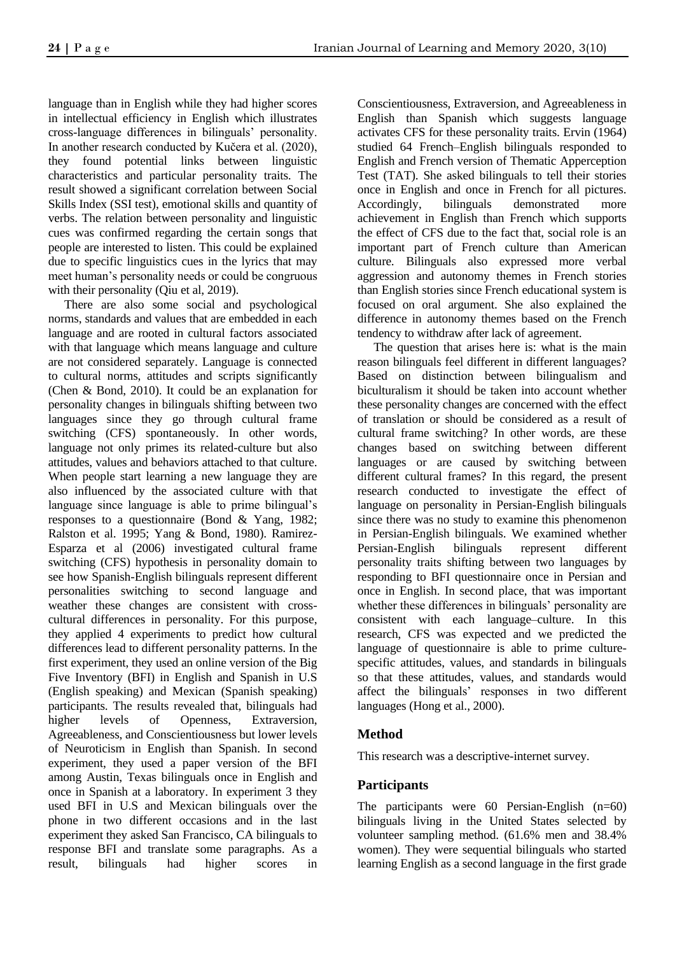language than in English while they had higher scores in intellectual efficiency in English which illustrates cross-language differences in bilinguals' personality. In another research conducted by Kučera et al. (2020), they found potential links between linguistic characteristics and particular personality traits. The result showed a significant correlation between Social Skills Index (SSI test), emotional skills and quantity of verbs. The relation between personality and linguistic cues was confirmed regarding the certain songs that people are interested to listen. This could be explained due to specific linguistics cues in the lyrics that may meet human's personality needs or could be congruous with their personality (Qiu et al, 2019).

There are also some social and psychological norms, standards and values that are embedded in each language and are rooted in cultural factors associated with that language which means language and culture are not considered separately. Language is connected to cultural norms, attitudes and scripts significantly (Chen & Bond, 2010). It could be an explanation for personality changes in bilinguals shifting between two languages since they go through cultural frame switching (CFS) spontaneously. In other words, language not only primes its related-culture but also attitudes, values and behaviors attached to that culture. When people start learning a new language they are also influenced by the associated culture with that language since language is able to prime bilingual's responses to a questionnaire (Bond & Yang, 1982; Ralston et al. 1995; Yang & Bond, 1980). Ramirez-Esparza et al (2006) investigated cultural frame switching (CFS) hypothesis in personality domain to see how Spanish-English bilinguals represent different personalities switching to second language and weather these changes are consistent with crosscultural differences in personality. For this purpose, they applied 4 experiments to predict how cultural differences lead to different personality patterns. In the first experiment, they used an online version of the Big Five Inventory (BFI) in English and Spanish in U.S (English speaking) and Mexican (Spanish speaking) participants. The results revealed that, bilinguals had higher levels of Openness, Extraversion, Agreeableness, and Conscientiousness but lower levels of Neuroticism in English than Spanish. In second experiment, they used a paper version of the BFI among Austin, Texas bilinguals once in English and once in Spanish at a laboratory. In experiment 3 they used BFI in U.S and Mexican bilinguals over the phone in two different occasions and in the last experiment they asked San Francisco, CA bilinguals to response BFI and translate some paragraphs. As a result, bilinguals had higher scores in

Conscientiousness, Extraversion, and Agreeableness in English than Spanish which suggests language activates CFS for these personality traits. Ervin (1964) studied 64 French–English bilinguals responded to English and French version of Thematic Apperception Test (TAT). She asked bilinguals to tell their stories once in English and once in French for all pictures. Accordingly, bilinguals demonstrated more achievement in English than French which supports the effect of CFS due to the fact that, social role is an important part of French culture than American culture. Bilinguals also expressed more verbal aggression and autonomy themes in French stories than English stories since French educational system is focused on oral argument. She also explained the difference in autonomy themes based on the French tendency to withdraw after lack of agreement.

The question that arises here is: what is the main reason bilinguals feel different in different languages? Based on distinction between bilingualism and biculturalism it should be taken into account whether these personality changes are concerned with the effect of translation or should be considered as a result of cultural frame switching? In other words, are these changes based on switching between different languages or are caused by switching between different cultural frames? In this regard, the present research conducted to investigate the effect of language on personality in Persian-English bilinguals since there was no study to examine this phenomenon in Persian-English bilinguals. We examined whether Persian-English bilinguals represent different personality traits shifting between two languages by responding to BFI questionnaire once in Persian and once in English. In second place, that was important whether these differences in bilinguals' personality are consistent with each language–culture. In this research, CFS was expected and we predicted the language of questionnaire is able to prime culturespecific attitudes, values, and standards in bilinguals so that these attitudes, values, and standards would affect the bilinguals' responses in two different languages (Hong et al., 2000).

# **Method**

This research was a descriptive-internet survey.

# **Participants**

The participants were 60 Persian-English (n=60) bilinguals living in the United States selected by volunteer sampling method. (61.6% men and 38.4% women). They were sequential bilinguals who started learning English as a second language in the first grade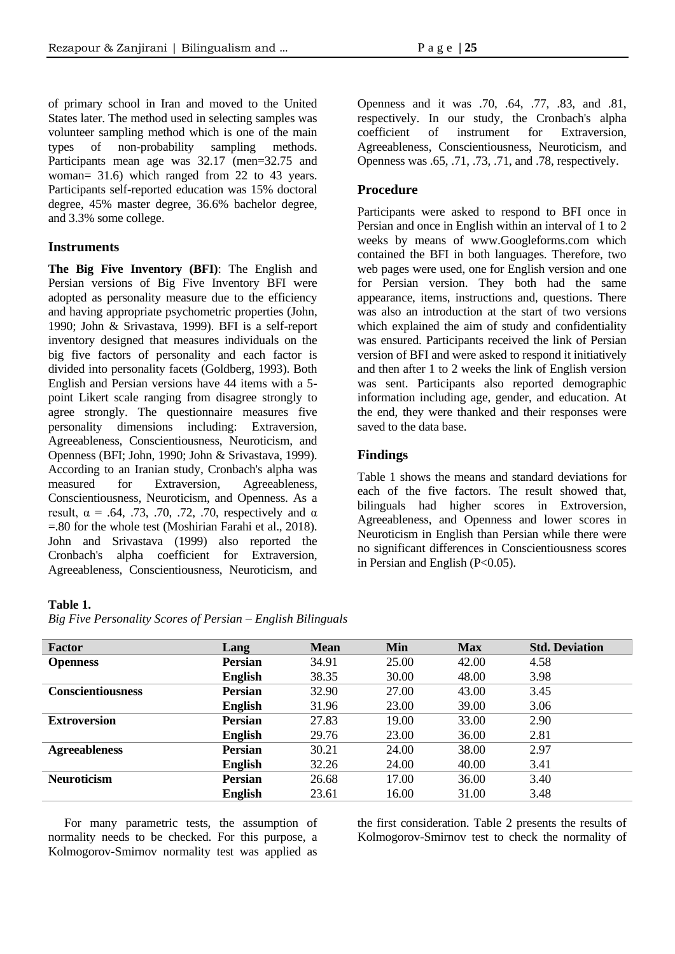of primary school in Iran and moved to the United States later. The method used in selecting samples was volunteer sampling method which is one of the main types of non-probability sampling methods. Participants mean age was 32.17 (men=32.75 and woman= 31.6) which ranged from 22 to 43 years. Participants self-reported education was 15% doctoral degree, 45% master degree, 36.6% bachelor degree, and 3.3% some college.

### **Instruments**

**The Big Five Inventory (BFI)**: The English and Persian versions of Big Five Inventory BFI were adopted as personality measure due to the efficiency and having appropriate psychometric properties (John, 1990; John & Srivastava, 1999). BFI is a self-report inventory designed that measures individuals on the big five factors of personality and each factor is divided into personality facets (Goldberg, 1993). Both English and Persian versions have 44 items with a 5 point Likert scale ranging from disagree strongly to agree strongly. The questionnaire measures five personality dimensions including: Extraversion, Agreeableness, Conscientiousness, Neuroticism, and Openness (BFI; John, 1990; John & Srivastava, 1999). According to an Iranian study, Cronbach's alpha was measured for Extraversion, Agreeableness, Conscientiousness, Neuroticism, and Openness. As a result,  $\alpha$  = .64, .73, .70, .72, .70, respectively and  $\alpha$ =.80 for the whole test (Moshirian Farahi et al., 2018). John and Srivastava (1999) also reported the Cronbach's alpha coefficient for Extraversion, Agreeableness, Conscientiousness, Neuroticism, and

### **Table 1.**

Openness and it was .70, .64, .77, .83, and .81, respectively. In our study, the Cronbach's alpha coefficient of instrument for Extraversion, Agreeableness, Conscientiousness, Neuroticism, and Openness was .65, .71, .73, .71, and .78, respectively.

# **Procedure**

Participants were asked to respond to BFI once in Persian and once in English within an interval of 1 to 2 weeks by means of www.Googleforms.com which contained the BFI in both languages. Therefore, two web pages were used, one for English version and one for Persian version. They both had the same appearance, items, instructions and, questions. There was also an introduction at the start of two versions which explained the aim of study and confidentiality was ensured. Participants received the link of Persian version of BFI and were asked to respond it initiatively and then after 1 to 2 weeks the link of English version was sent. Participants also reported demographic information including age, gender, and education. At the end, they were thanked and their responses were saved to the data base.

## **Findings**

Table 1 shows the means and standard deviations for each of the five factors. The result showed that, bilinguals had higher scores in Extroversion, Agreeableness, and Openness and lower scores in Neuroticism in English than Persian while there were no significant differences in Conscientiousness scores in Persian and English (P<0.05).

| <b>Factor</b>            | Lang           | <b>Mean</b> | Min   | <b>Max</b> | <b>Std. Deviation</b> |
|--------------------------|----------------|-------------|-------|------------|-----------------------|
| <b>Openness</b>          | <b>Persian</b> | 34.91       | 25.00 | 42.00      | 4.58                  |
|                          | <b>English</b> | 38.35       | 30.00 | 48.00      | 3.98                  |
| <b>Conscientiousness</b> | <b>Persian</b> | 32.90       | 27.00 | 43.00      | 3.45                  |
|                          | <b>English</b> | 31.96       | 23.00 | 39.00      | 3.06                  |
| <b>Extroversion</b>      | <b>Persian</b> | 27.83       | 19.00 | 33.00      | 2.90                  |
|                          | <b>English</b> | 29.76       | 23.00 | 36.00      | 2.81                  |
| <b>Agreeableness</b>     | <b>Persian</b> | 30.21       | 24.00 | 38.00      | 2.97                  |
|                          | <b>English</b> | 32.26       | 24.00 | 40.00      | 3.41                  |
| <b>Neuroticism</b>       | <b>Persian</b> | 26.68       | 17.00 | 36.00      | 3.40                  |
|                          | English        | 23.61       | 16.00 | 31.00      | 3.48                  |

For many parametric tests, the assumption of normality needs to be checked. For this purpose, a Kolmogorov-Smirnov normality test was applied as

the first consideration. Table 2 presents the results of Kolmogorov-Smirnov test to check the normality of

*Big Five Personality Scores of Persian – English Bilinguals*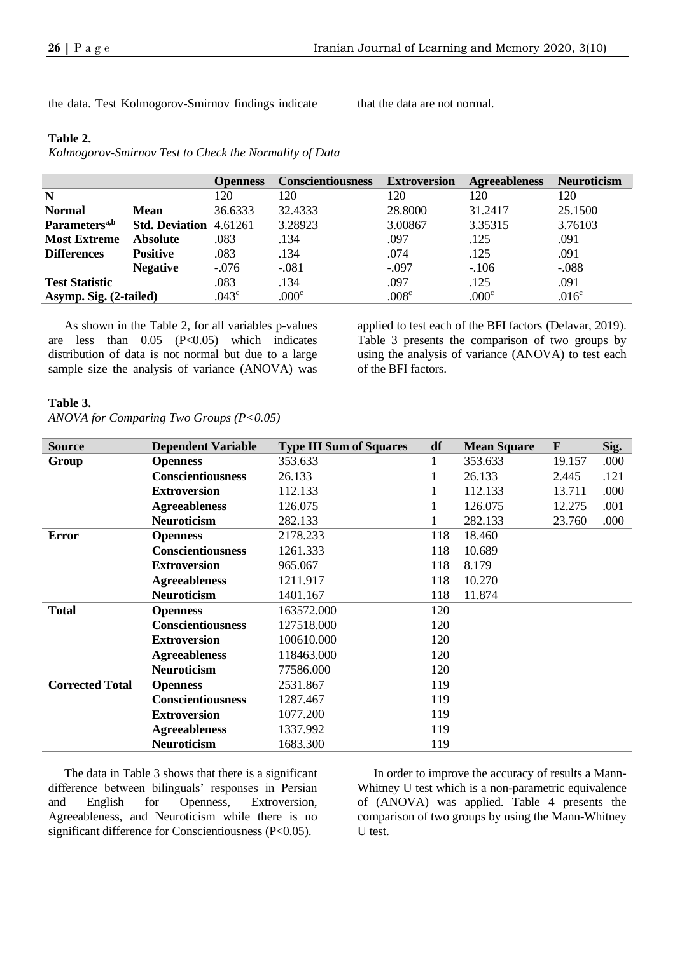the data. Test Kolmogorov-Smirnov findings indicate that the data are not normal.

### **Table 2.**

*Kolmogorov-Smirnov Test to Check the Normality of Data*

|                           |                       | <b>Openness</b>   | <b>Conscientiousness</b> | <b>Extroversion</b> | <b>Agreeableness</b> | <b>Neuroticism</b> |
|---------------------------|-----------------------|-------------------|--------------------------|---------------------|----------------------|--------------------|
| N                         |                       | 120               | 120                      | 120                 | 120                  | 120                |
| <b>Normal</b>             | Mean                  | 36.6333           | 32.4333                  | 28.8000             | 31.2417              | 25.1500            |
| Parameters <sup>a,b</sup> | <b>Std. Deviation</b> | 4.61261           | 3.28923                  | 3.00867             | 3.35315              | 3.76103            |
| <b>Most Extreme</b>       | <b>Absolute</b>       | .083              | .134                     | .097                | .125                 | .091               |
| <b>Differences</b>        | <b>Positive</b>       | .083              | .134                     | .074                | .125                 | .091               |
|                           | <b>Negative</b>       | $-.076$           | $-.081$                  | $-.097$             | $-106$               | $-.088$            |
| <b>Test Statistic</b>     |                       | .083              | .134                     | .097                | .125                 | .091               |
| Asymp. Sig. (2-tailed)    |                       | .043 <sup>c</sup> | .000 <sup>c</sup>        | .008 <sup>c</sup>   | .000 <sup>c</sup>    | .016 <sup>c</sup>  |

As shown in the Table 2, for all variables p-values are less than  $0.05$   $(P<0.05)$  which indicates distribution of data is not normal but due to a large sample size the analysis of variance (ANOVA) was

applied to test each of the BFI factors (Delavar, 2019). Table 3 presents the comparison of two groups by using the analysis of variance (ANOVA) to test each of the BFI factors.

#### **Table 3.**

*ANOVA for Comparing Two Groups (P<0.05)*

| <b>Source</b>          | <b>Dependent Variable</b> | <b>Type III Sum of Squares</b> | df  | <b>Mean Square</b> | $\mathbf{F}$ | Sig. |
|------------------------|---------------------------|--------------------------------|-----|--------------------|--------------|------|
| Group                  | <b>Openness</b>           | 353.633                        |     | 353.633            | 19.157       | .000 |
|                        | <b>Conscientiousness</b>  | 26.133                         |     | 26.133             | 2.445        | .121 |
|                        | <b>Extroversion</b>       | 112.133                        |     | 112.133            | 13.711       | .000 |
|                        | <b>Agreeableness</b>      | 126.075                        |     | 126.075            | 12.275       | .001 |
|                        | <b>Neuroticism</b>        | 282.133                        |     | 282.133            | 23.760       | .000 |
| <b>Error</b>           | <b>Openness</b>           | 2178.233                       | 118 | 18.460             |              |      |
|                        | <b>Conscientiousness</b>  | 1261.333                       | 118 | 10.689             |              |      |
|                        | <b>Extroversion</b>       | 965.067                        | 118 | 8.179              |              |      |
|                        | <b>Agreeableness</b>      | 1211.917                       | 118 | 10.270             |              |      |
|                        | <b>Neuroticism</b>        | 1401.167                       | 118 | 11.874             |              |      |
| <b>Total</b>           | <b>Openness</b>           | 163572.000                     | 120 |                    |              |      |
|                        | <b>Conscientiousness</b>  | 127518.000                     | 120 |                    |              |      |
|                        | <b>Extroversion</b>       | 100610.000                     | 120 |                    |              |      |
|                        | <b>Agreeableness</b>      | 118463.000                     | 120 |                    |              |      |
|                        | <b>Neuroticism</b>        | 77586.000                      | 120 |                    |              |      |
| <b>Corrected Total</b> | <b>Openness</b>           | 2531.867                       | 119 |                    |              |      |
|                        | <b>Conscientiousness</b>  | 1287.467                       | 119 |                    |              |      |
|                        | <b>Extroversion</b>       | 1077.200                       | 119 |                    |              |      |
|                        | <b>Agreeableness</b>      | 1337.992                       | 119 |                    |              |      |
|                        | <b>Neuroticism</b>        | 1683.300                       | 119 |                    |              |      |

The data in Table 3 shows that there is a significant difference between bilinguals' responses in Persian and English for Openness, Extroversion, Agreeableness, and Neuroticism while there is no significant difference for Conscientiousness (P<0.05).

In order to improve the accuracy of results a Mann-Whitney U test which is a non-parametric equivalence of (ANOVA) was applied. Table 4 presents the comparison of two groups by using the Mann-Whitney U test.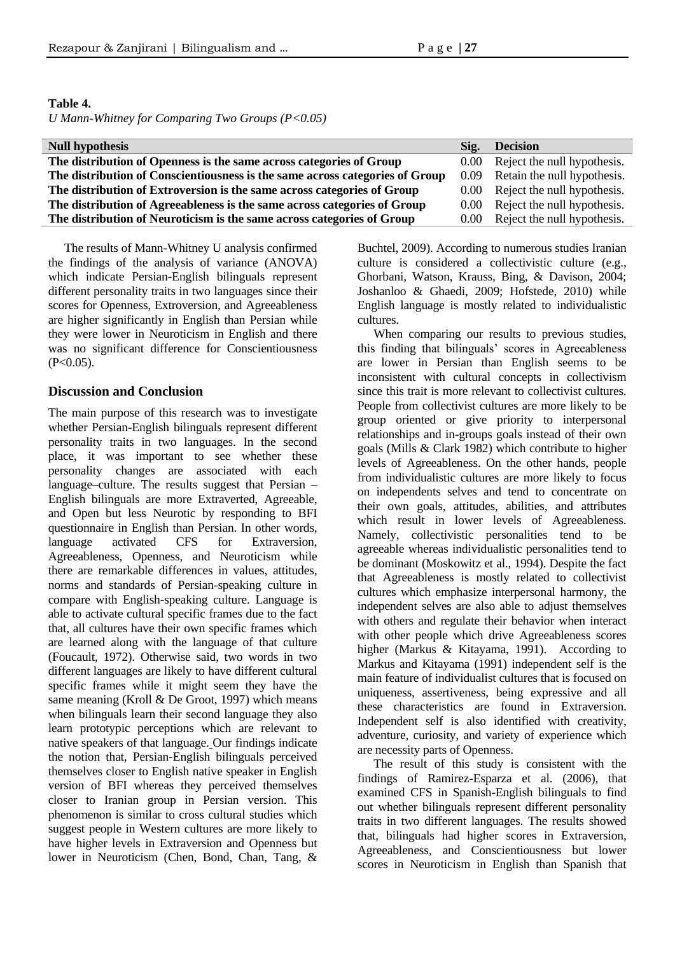#### **Table 4.**

*U Mann-Whitney for Comparing Two Groups (P<0.05)*

| <b>Null hypothesis</b>                                                       | Sig.           | <b>Decision</b>                  |
|------------------------------------------------------------------------------|----------------|----------------------------------|
| The distribution of Openness is the same across categories of Group          | $0.00^{\circ}$ | Reject the null hypothesis.      |
| The distribution of Conscientiousness is the same across categories of Group | 0.09           | Retain the null hypothesis.      |
| The distribution of Extroversion is the same across categories of Group      |                | 0.00 Reject the null hypothesis. |
| The distribution of Agreeableness is the same across categories of Group     |                | 0.00 Reject the null hypothesis. |
| The distribution of Neuroticism is the same across categories of Group       |                | 0.00 Reject the null hypothesis. |

The results of Mann-Whitney U analysis confirmed the findings of the analysis of variance (ANOVA) which indicate Persian-English bilinguals represent different personality traits in two languages since their scores for Openness, Extroversion, and Agreeableness are higher significantly in English than Persian while they were lower in Neuroticism in English and there was no significant difference for Conscientiousness  $(P<0.05)$ .

### **Discussion and Conclusion**

The main purpose of this research was to investigate whether Persian-English bilinguals represent different personality traits in two languages. In the second place, it was important to see whether these personality changes are associated with each language–culture. The results suggest that Persian – English bilinguals are more Extraverted, Agreeable, and Open but less Neurotic by responding to BFI questionnaire in English than Persian. In other words, language activated CFS for Extraversion, Agreeableness, Openness, and Neuroticism while there are remarkable differences in values, attitudes, norms and standards of Persian-speaking culture in compare with English-speaking culture. Language is able to activate cultural specific frames due to the fact that, all cultures have their own specific frames which are learned along with the language of that culture (Foucault, 1972). Otherwise said, two words in two different languages are likely to have different cultural specific frames while it might seem they have the same meaning (Kroll & De Groot, 1997) which means when bilinguals learn their second language they also learn prototypic perceptions which are relevant to native speakers of that language. Our findings indicate the notion that, Persian-English bilinguals perceived themselves closer to English native speaker in English version of BFI whereas they perceived themselves closer to Iranian group in Persian version. This phenomenon is similar to cross cultural studies which suggest people in Western cultures are more likely to have higher levels in Extraversion and Openness but lower in Neuroticism (Chen, Bond, Chan, Tang, &

Buchtel, 2009). According to numerous studies Iranian culture is considered a collectivistic culture (e.g., Ghorbani, Watson, Krauss, Bing, & Davison, 2004; Joshanloo & Ghaedi, 2009; Hofstede, 2010) while English language is mostly related to individualistic cultures.

When comparing our results to previous studies, this finding that bilinguals' scores in Agreeableness are lower in Persian than English seems to be inconsistent with cultural concepts in collectivism since this trait is more relevant to collectivist cultures. People from collectivist cultures are more likely to be group oriented or give priority to interpersonal relationships and in-groups goals instead of their own goals (Mills & Clark 1982) which contribute to higher levels of Agreeableness. On the other hands, people from individualistic cultures are more likely to focus on independents selves and tend to concentrate on their own goals, attitudes, abilities, and attributes which result in lower levels of Agreeableness. Namely, collectivistic personalities tend to be agreeable whereas individualistic personalities tend to be dominant (Moskowitz et al., 1994). Despite the fact that Agreeableness is mostly related to collectivist cultures which emphasize interpersonal harmony, the independent selves are also able to adjust themselves with others and regulate their behavior when interact with other people which drive Agreeableness scores higher (Markus & Kitayama, 1991). According to Markus and Kitayama (1991) independent self is the main feature of individualist cultures that is focused on uniqueness, assertiveness, being expressive and all these characteristics are found in Extraversion. Independent self is also identified with creativity, adventure, curiosity, and variety of experience which are necessity parts of Openness.

The result of this study is consistent with the findings of Ramirez-Esparza et al. (2006), that examined CFS in Spanish-English bilinguals to find out whether bilinguals represent different personality traits in two different languages. The results showed that, bilinguals had higher scores in Extraversion, Agreeableness, and Conscientiousness but lower scores in Neuroticism in English than Spanish that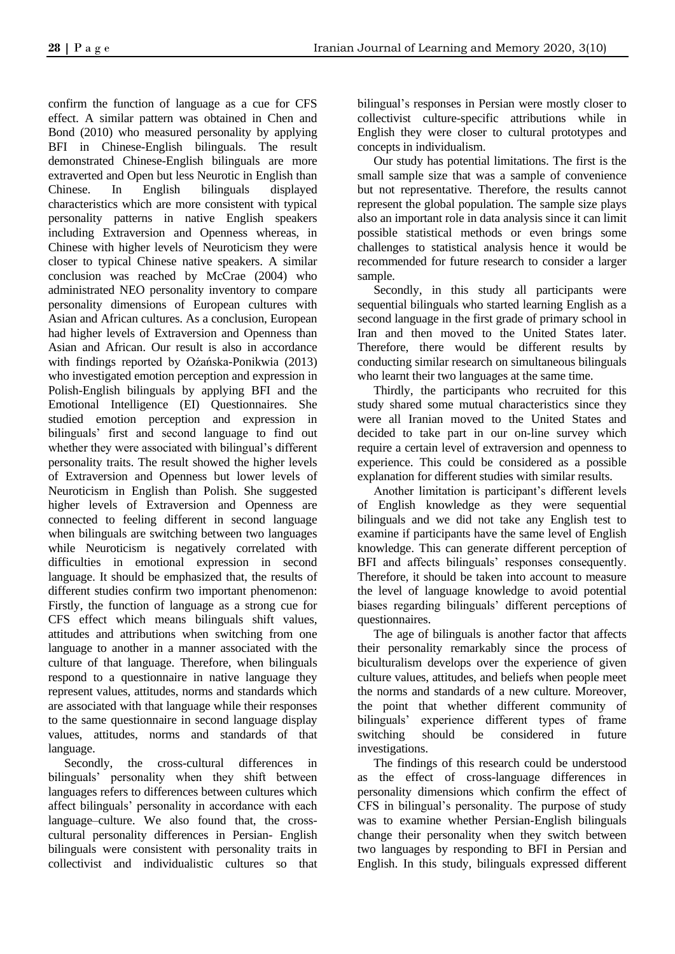confirm the function of language as a cue for CFS effect. A similar pattern was obtained in Chen and Bond (2010) who measured personality by applying BFI in Chinese-English bilinguals. The result demonstrated Chinese-English bilinguals are more extraverted and Open but less Neurotic in English than Chinese. In English bilinguals displayed characteristics which are more consistent with typical personality patterns in native English speakers including Extraversion and Openness whereas, in Chinese with higher levels of Neuroticism they were closer to typical Chinese native speakers. A similar conclusion was reached by McCrae (2004) who administrated NEO personality inventory to compare personality dimensions of European cultures with Asian and African cultures. As a conclusion, European had higher levels of Extraversion and Openness than Asian and African. Our result is also in accordance with findings reported by Ożańska-Ponikwia (2013) who investigated emotion perception and expression in Polish-English bilinguals by applying BFI and the Emotional Intelligence (EI) Questionnaires. She studied emotion perception and expression in bilinguals' first and second language to find out whether they were associated with bilingual's different personality traits. The result showed the higher levels of Extraversion and Openness but lower levels of Neuroticism in English than Polish. She suggested higher levels of Extraversion and Openness are connected to feeling different in second language when bilinguals are switching between two languages while Neuroticism is negatively correlated with difficulties in emotional expression in second language. It should be emphasized that, the results of different studies confirm two important phenomenon: Firstly, the function of language as a strong cue for CFS effect which means bilinguals shift values, attitudes and attributions when switching from one language to another in a manner associated with the culture of that language. Therefore, when bilinguals respond to a questionnaire in native language they represent values, attitudes, norms and standards which are associated with that language while their responses to the same questionnaire in second language display values, attitudes, norms and standards of that language.

Secondly, the cross-cultural differences in bilinguals' personality when they shift between languages refers to differences between cultures which affect bilinguals' personality in accordance with each language–culture. We also found that, the crosscultural personality differences in Persian- English bilinguals were consistent with personality traits in collectivist and individualistic cultures so that

bilingual's responses in Persian were mostly closer to collectivist culture-specific attributions while in English they were closer to cultural prototypes and concepts in individualism.

Our study has potential limitations. The first is the small sample size that was a sample of convenience but not representative. Therefore, the results cannot represent the global population. The sample size plays also an important role in data analysis since it can limit possible statistical methods or even brings some challenges to statistical analysis hence it would be recommended for future research to consider a larger sample.

Secondly, in this study all participants were sequential bilinguals who started learning English as a second language in the first grade of primary school in Iran and then moved to the United States later. Therefore, there would be different results by conducting similar research on simultaneous bilinguals who learnt their two languages at the same time.

Thirdly, the participants who recruited for this study shared some mutual characteristics since they were all Iranian moved to the United States and decided to take part in our on-line survey which require a certain level of extraversion and openness to experience. This could be considered as a possible explanation for different studies with similar results.

Another limitation is participant's different levels of English knowledge as they were sequential bilinguals and we did not take any English test to examine if participants have the same level of English knowledge. This can generate different perception of BFI and affects bilinguals' responses consequently. Therefore, it should be taken into account to measure the level of language knowledge to avoid potential biases regarding bilinguals' different perceptions of questionnaires.

The age of bilinguals is another factor that affects their personality remarkably since the process of biculturalism develops over the experience of given culture values, attitudes, and beliefs when people meet the norms and standards of a new culture. Moreover, the point that whether different community of bilinguals' experience different types of frame switching should be considered in future investigations.

The findings of this research could be understood as the effect of cross-language differences in personality dimensions which confirm the effect of CFS in bilingual's personality. The purpose of study was to examine whether Persian-English bilinguals change their personality when they switch between two languages by responding to BFI in Persian and English. In this study, bilinguals expressed different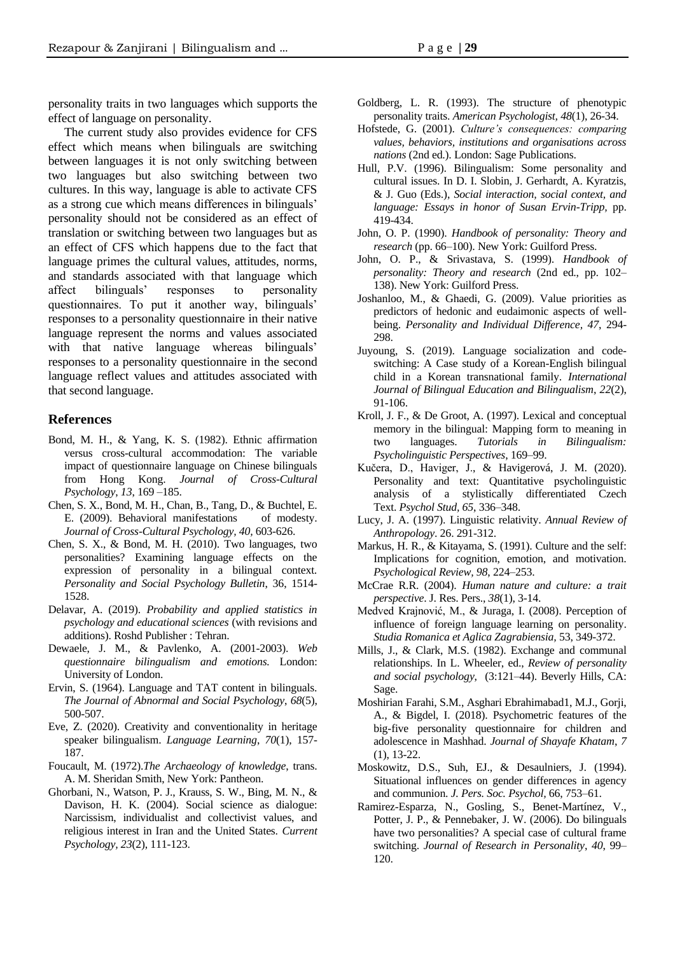personality traits in two languages which supports the effect of language on personality.

The current study also provides evidence for CFS effect which means when bilinguals are switching between languages it is not only switching between two languages but also switching between two cultures. In this way, language is able to activate CFS as a strong cue which means differences in bilinguals' personality should not be considered as an effect of translation or switching between two languages but as an effect of CFS which happens due to the fact that language primes the cultural values, attitudes, norms, and standards associated with that language which affect bilinguals' responses to personality questionnaires. To put it another way, bilinguals' responses to a personality questionnaire in their native language represent the norms and values associated with that native language whereas bilinguals' responses to a personality questionnaire in the second language reflect values and attitudes associated with that second language.

#### **References**

- Bond, M. H., & Yang, K. S. (1982). Ethnic affirmation versus cross-cultural accommodation: The variable impact of questionnaire language on Chinese bilinguals from Hong Kong. *Journal of Cross-Cultural Psychology*, *13*, 169 –185.
- Chen, S. X., Bond, M. H., Chan, B., Tang, D., & Buchtel, E. E. (2009). Behavioral manifestations of modesty. *Journal of Cross-Cultural Psychology, 40,* 603-626.
- Chen, S. X., & Bond, M. H. (2010). Two languages, two personalities? Examining language effects on the expression of personality in a bilingual context*. Personality and Social Psychology Bulletin*, 36, 1514- 1528.
- Delavar, A. (2019). *Probability and applied statistics in psychology and educational sciences* (with revisions and additions). Roshd Publisher : Tehran.
- Dewaele, J. M., & Pavlenko, A. (2001-2003). *Web questionnaire bilingualism and emotions.* London: University of London.
- Ervin, S. (1964). Language and TAT content in bilinguals. *The Journal of Abnormal and Social Psychology*, *68*(5), 500-507.
- Eve, Z. (2020). Creativity and conventionality in heritage speaker bilingualism. *Language Learning*, *70*(1), 157- 187.
- Foucault, M. (1972).*The Archaeology of knowledge*, trans. A. M. Sheridan Smith, New York: Pantheon.
- Ghorbani, N., Watson, P. J., Krauss, S. W., Bing, M. N., & Davison, H. K. (2004). Social science as dialogue: Narcissism, individualist and collectivist values, and religious interest in Iran and the United States. *Current Psychology, 23*(2), 111-123.
- Goldberg, L. R. (1993). The structure of phenotypic personality traits. *American Psychologist, 48*(1), 26-34.
- Hofstede, G. (2001). *Culture's consequences: comparing values, behaviors, institutions and organisations across nations* (2nd ed.). London: Sage Publications.
- Hull, P.V. (1996). Bilingualism: Some personality and cultural issues. In D. I. Slobin, J. Gerhardt, A. Kyratzis, & J. Guo (Eds.), *Social interaction, social context, and language: Essays in honor of Susan Ervin-Tripp,* pp. 419-434.
- John, O. P. (1990). *Handbook of personality: Theory and research* (pp. 66–100). New York: Guilford Press.
- John, O. P., & Srivastava, S. (1999). *Handbook of personality: Theory and research* (2nd ed., pp. 102– 138). New York: Guilford Press.
- Joshanloo, M., & Ghaedi, G. (2009). Value priorities as predictors of hedonic and eudaimonic aspects of wellbeing. *Personality and Individual Difference, 47*, 294- 298.
- Juyoung, S. (2019). Language socialization and codeswitching: A Case study of a Korean-English bilingual child in a Korean transnational family. *International Journal of Bilingual Education and Bilingualism*, *22*(2), 91-106.
- Kroll, J. F., & De Groot, A. (1997). Lexical and conceptual memory in the bilingual: Mapping form to meaning in two languages. *Tutorials in Bilingualism: Psycholinguistic Perspectives*, 169–99.
- Kučera, D., Haviger, J., & Havigerová, J. M. (2020). Personality and text: Quantitative psycholinguistic analysis of a stylistically differentiated Czech Text. *Psychol Stud, 65*, 336–348.
- Lucy, J. A. (1997). Linguistic relativity. *Annual Review of Anthropology*. 26. 291-312.
- Markus, H. R., & Kitayama, S. (1991). Culture and the self: Implications for cognition, emotion, and motivation. *Psychological Review, 98*, 224–253.
- McCrae R.R. (2004). *Human nature and culture: a trait perspective*. J. Res. Pers., *38*(1), 3-14.
- Medved Krajnović, M., & Juraga, I. (2008). Perception of influence of foreign language learning on personality. *Studia Romanica et Aglica Zagrabiensia,* 53, 349-372.
- Mills, J., & Clark, M.S. (1982). Exchange and communal relationships. In L. Wheeler, ed., *Review of personality and social psychology*, (3:121–44). Beverly Hills, CA: Sage.
- Moshirian Farahi, S.M., Asghari Ebrahimabad1, M.J., Gorji, A., & Bigdel, I. (2018). Psychometric features of the big-five personality questionnaire for children and adolescence in Mashhad. *Journal of Shayafe Khatam*, *7* (1), 13-22.
- Moskowitz, D.S., Suh, EJ., & Desaulniers, J. (1994). Situational influences on gender differences in agency and communion. *J. Pers. Soc. Psychol,* 66, 753–61.
- Ramirez-Esparza, N., Gosling, S., Benet-Martínez, V., Potter, J. P., & Pennebaker, J. W. (2006). Do bilinguals have two personalities? A special case of cultural frame switching. *Journal of Research in Personality*, *40*, 99– 120.